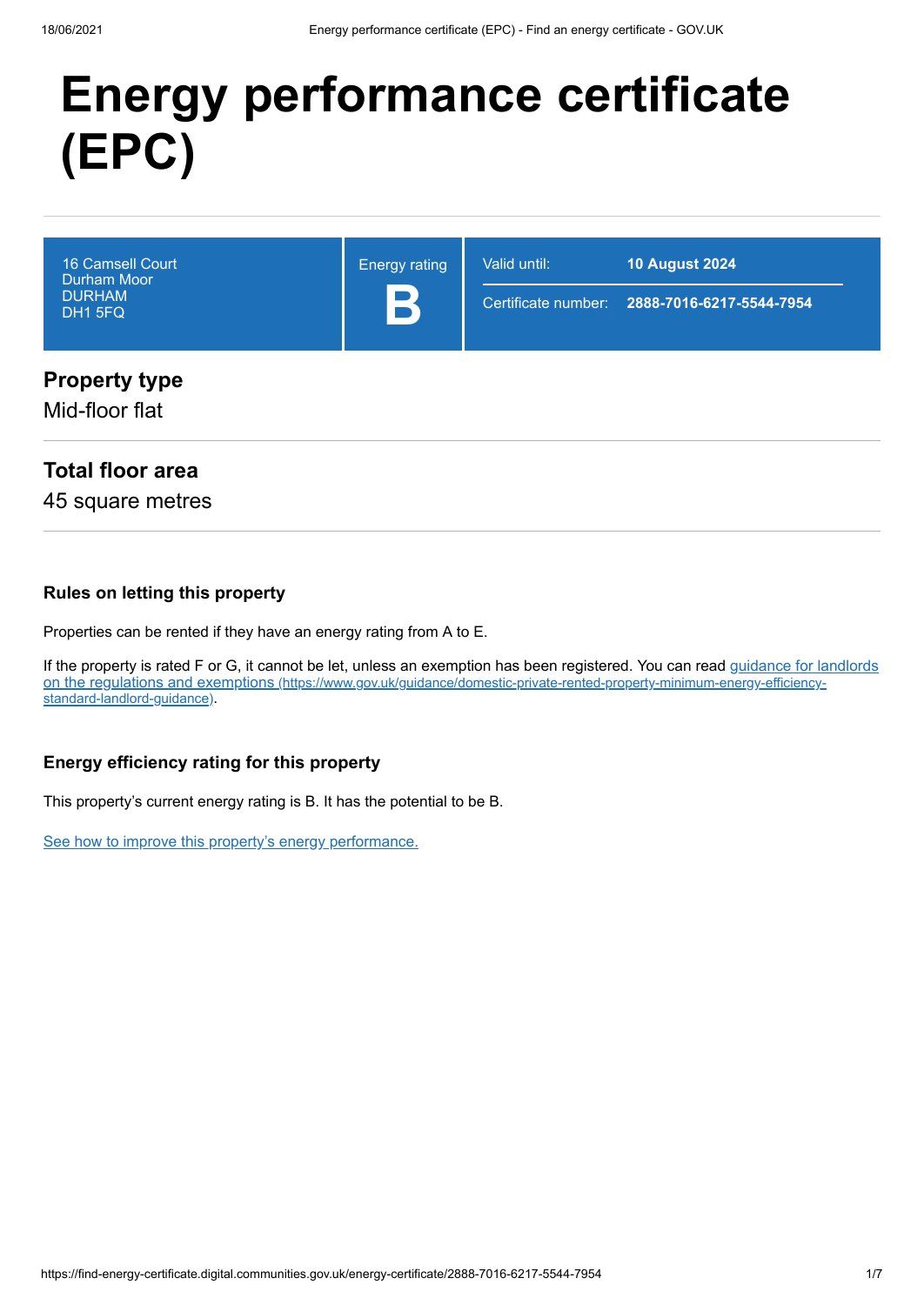# **Energy performance certificate (EPC)**

| <b>16 Camsell Court</b><br><b>Durham Moor</b><br><b>DURHAM</b><br>DH1 5FQ | <b>Energy rating</b><br>B | Valid until: | <b>10 August 2024</b><br>Certificate number: 2888-7016-6217-5544-7954 |
|---------------------------------------------------------------------------|---------------------------|--------------|-----------------------------------------------------------------------|
| <b>Property type</b>                                                      |                           |              |                                                                       |

Mid-floor flat

## **Total floor area**

45 square metres

#### **Rules on letting this property**

Properties can be rented if they have an energy rating from A to E.

[If the property is rated F or G, it cannot be let, unless an exemption has been registered. You can read guidance for landlords](https://www.gov.uk/guidance/domestic-private-rented-property-minimum-energy-efficiency-standard-landlord-guidance) on the regulations and exemptions (https://www.gov.uk/guidance/domestic-private-rented-property-minimum-energy-efficiencystandard-landlord-guidance).

#### **Energy efficiency rating for this property**

This property's current energy rating is B. It has the potential to be B.

[See how to improve this property's energy performance.](#page-3-0)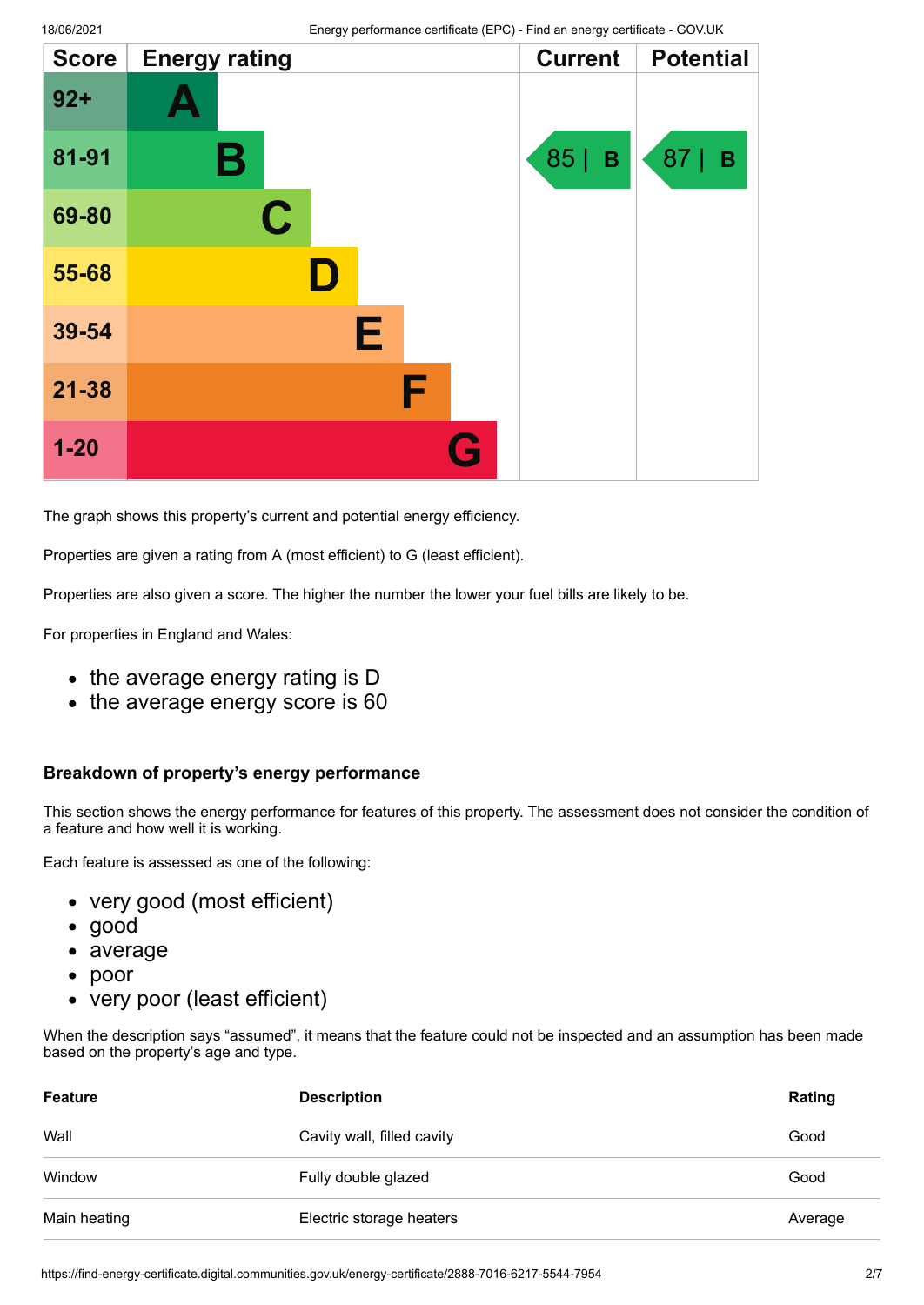| <b>Score</b> | <b>Energy rating</b> | <b>Current</b> | <b>Potential</b>  |
|--------------|----------------------|----------------|-------------------|
| $92 +$       |                      |                |                   |
| 81-91        | Β                    | 85  <br>B      | 87<br>$\mathbf B$ |
| 69-80        | $\mathbf C$          |                |                   |
| 55-68        |                      |                |                   |
| 39-54        | E                    |                |                   |
| $21 - 38$    | F                    |                |                   |
| $1 - 20$     |                      |                |                   |

The graph shows this property's current and potential energy efficiency.

Properties are given a rating from A (most efficient) to G (least efficient).

Properties are also given a score. The higher the number the lower your fuel bills are likely to be.

For properties in England and Wales:

- the average energy rating is D
- the average energy score is 60

#### **Breakdown of property's energy performance**

This section shows the energy performance for features of this property. The assessment does not consider the condition of a feature and how well it is working.

Each feature is assessed as one of the following:

- very good (most efficient)
- good
- average
- poor  $\bullet$
- very poor (least efficient)

When the description says "assumed", it means that the feature could not be inspected and an assumption has been made based on the property's age and type.

| <b>Feature</b> | <b>Description</b>         | Rating  |
|----------------|----------------------------|---------|
| Wall           | Cavity wall, filled cavity | Good    |
| Window         | Fully double glazed        | Good    |
| Main heating   | Electric storage heaters   | Average |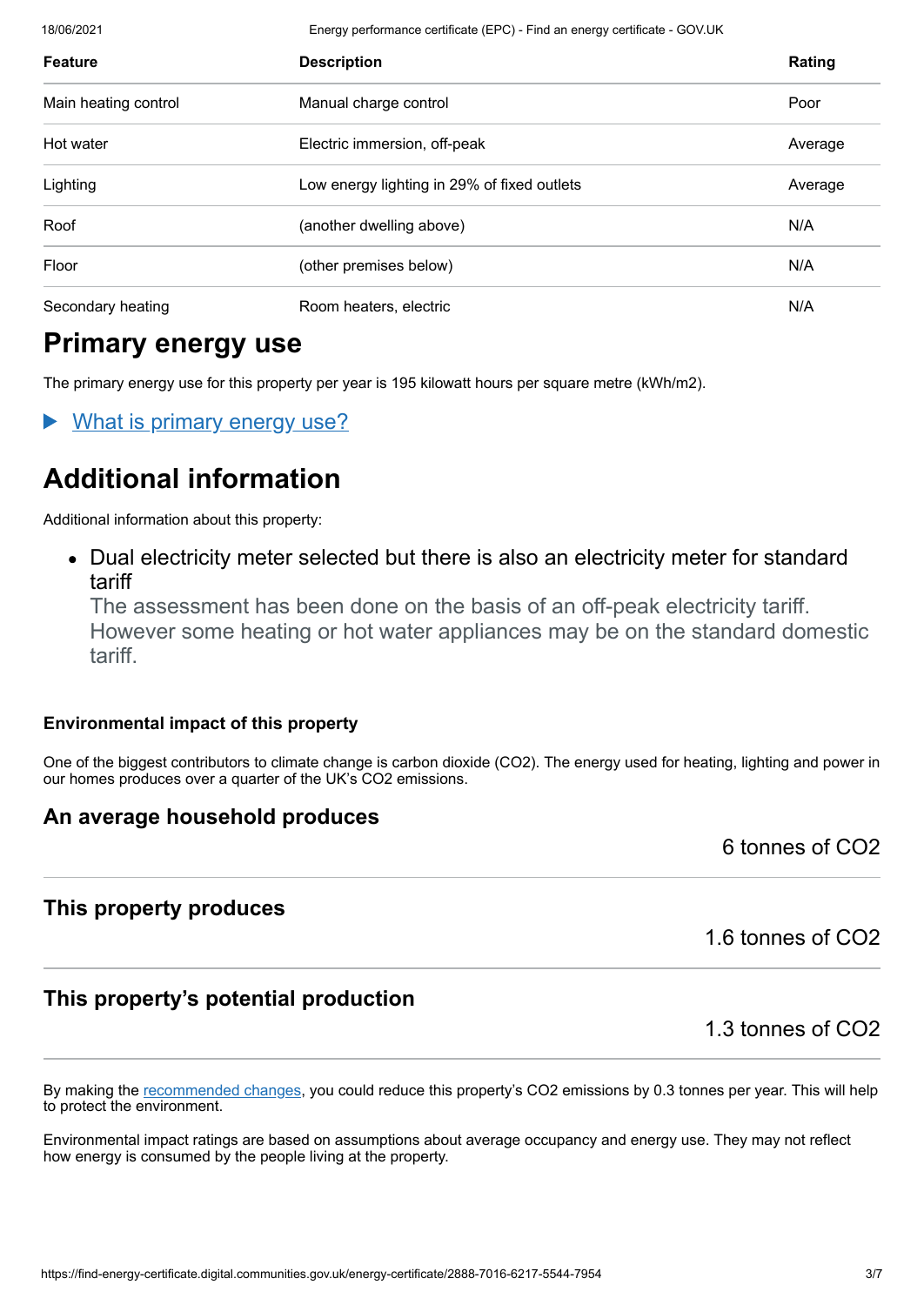18/06/2021 Energy performance certificate (EPC) - Find an energy certificate - GOV.UK

| <b>Feature</b>       | <b>Description</b>                          | Rating  |
|----------------------|---------------------------------------------|---------|
| Main heating control | Manual charge control                       | Poor    |
| Hot water            | Electric immersion, off-peak                | Average |
| Lighting             | Low energy lighting in 29% of fixed outlets | Average |
| Roof                 | (another dwelling above)                    | N/A     |
| Floor                | (other premises below)                      | N/A     |
| Secondary heating    | Room heaters, electric                      | N/A     |

# **Primary energy use**

The primary energy use for this property per year is 195 kilowatt hours per square metre (kWh/m2).

What is primary energy use?

# **Additional information**

Additional information about this property:

Dual electricity meter selected but there is also an electricity meter for standard tariff

The assessment has been done on the basis of an off-peak electricity tariff. However some heating or hot water appliances may be on the standard domestic tariff.

#### **Environmental impact of this property**

One of the biggest contributors to climate change is carbon dioxide (CO2). The energy used for heating, lighting and power in our homes produces over a quarter of the UK's CO2 emissions.

## **An average household produces**

6 tonnes of CO2

## **This property produces**

1.6 tonnes of CO2

# **This property's potential production**

1.3 tonnes of CO2

By making the [recommended changes](#page-3-0), you could reduce this property's CO2 emissions by 0.3 tonnes per year. This will help to protect the environment.

Environmental impact ratings are based on assumptions about average occupancy and energy use. They may not reflect how energy is consumed by the people living at the property.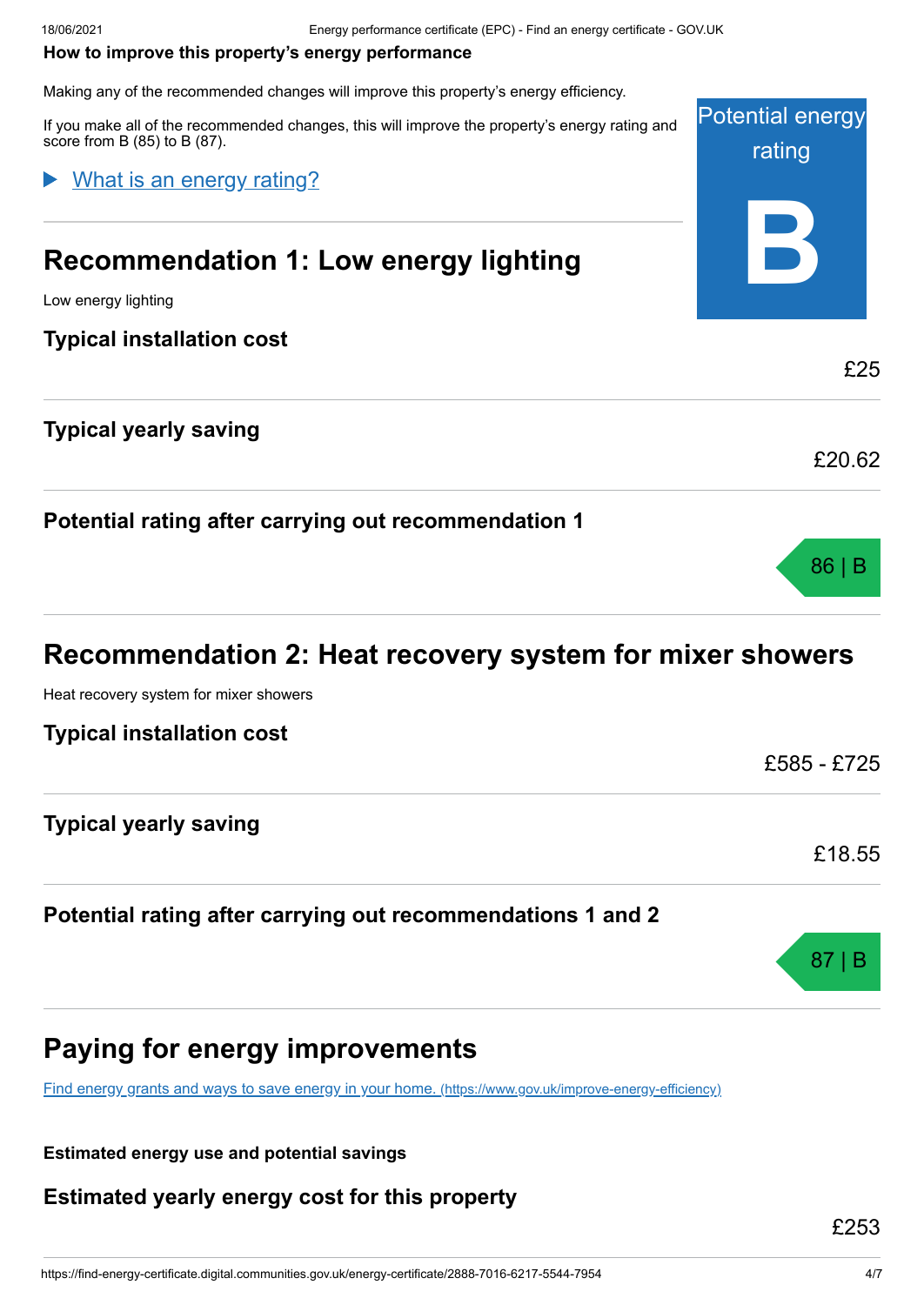#### <span id="page-3-0"></span>**How to improve this property's energy performance**

Making any of the recommended changes will improve this property's energy efficiency.

Potential energy rating **B** If you make all of the recommended changes, this will improve the property's energy rating and score from B (85) to B (87). **Recommendation 1: Low energy lighting** Low energy lighting **Typical installation cost** £25 **Typical yearly saving** £20.62 **Potential rating after carrying out recommendation 1** 86 | B What is an energy rating?

# **Recommendation 2: Heat recovery system for mixer showers**

Heat recovery system for mixer showers

| <b>Typical installation cost</b> |             |
|----------------------------------|-------------|
|                                  | £585 - £725 |
| <b>Typical yearly saving</b>     |             |
|                                  | £18.55      |
|                                  |             |

#### **Potential rating after carrying out recommendations 1 and 2**

# **Paying for energy improvements**

[Find energy grants and ways to save energy in your home.](https://www.gov.uk/improve-energy-efficiency) (https://www.gov.uk/improve-energy-efficiency)

**Estimated energy use and potential savings**

**Estimated yearly energy cost for this property**

£253

87 | B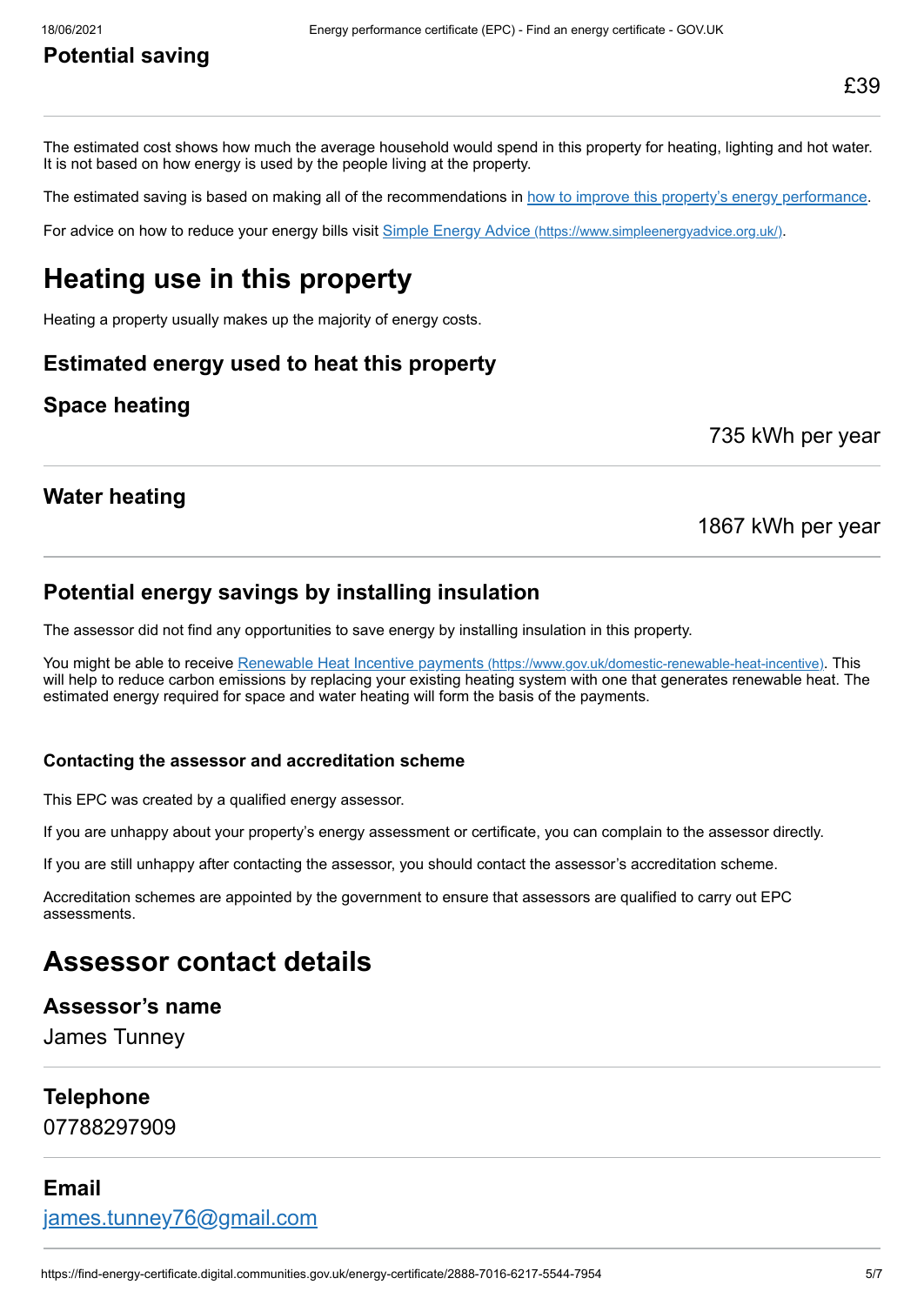# **Potential saving**

The estimated cost shows how much the average household would spend in this property for heating, lighting and hot water. It is not based on how energy is used by the people living at the property.

The estimated saving is based on making all of the recommendations in [how to improve this property's energy performance.](#page-3-0)

For advice on how to reduce your energy bills visit Simple Energy Advice [\(https://www.simpleenergyadvice.org.uk/\)](https://www.simpleenergyadvice.org.uk/).

# **Heating use in this property**

Heating a property usually makes up the majority of energy costs.

#### **Estimated energy used to heat this property**

#### **Space heating**

735 kWh per year

#### **Water heating**

#### 1867 kWh per year

#### **Potential energy savings by installing insulation**

The assessor did not find any opportunities to save energy by installing insulation in this property.

You might be able to receive Renewable Heat Incentive payments [\(https://www.gov.uk/domestic-renewable-heat-incentive\)](https://www.gov.uk/domestic-renewable-heat-incentive). This will help to reduce carbon emissions by replacing your existing heating system with one that generates renewable heat. The estimated energy required for space and water heating will form the basis of the payments.

#### **Contacting the assessor and accreditation scheme**

This EPC was created by a qualified energy assessor.

If you are unhappy about your property's energy assessment or certificate, you can complain to the assessor directly.

If you are still unhappy after contacting the assessor, you should contact the assessor's accreditation scheme.

Accreditation schemes are appointed by the government to ensure that assessors are qualified to carry out EPC assessments.

# **Assessor contact details**

#### **Assessor's name**

James Tunney

#### **Telephone**

07788297909

#### **Email**

[james.tunney76@gmail.com](mailto:james.tunney76@gmail.com)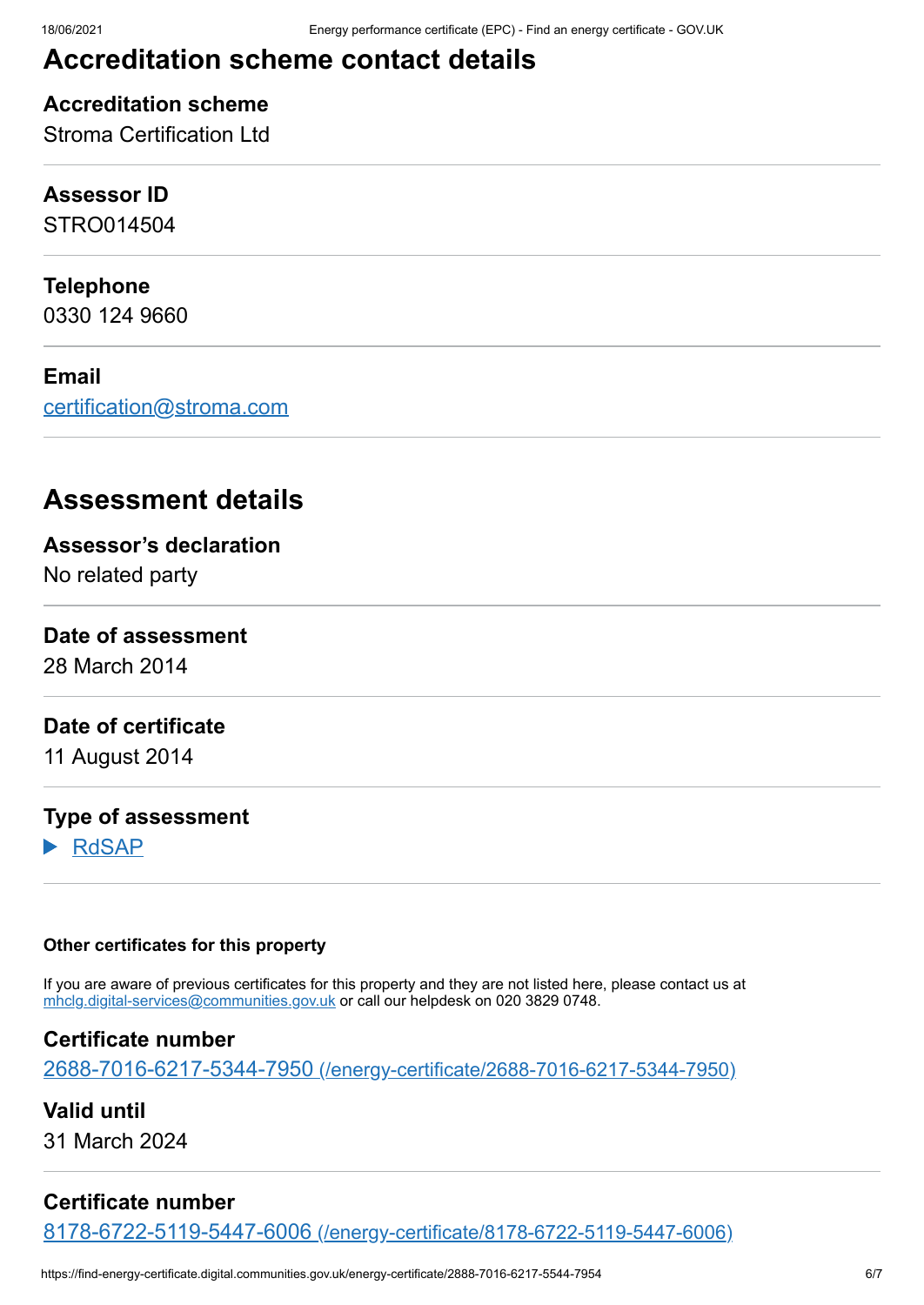# **Accreditation scheme contact details**

## **Accreditation scheme**

Stroma Certification Ltd

## **Assessor ID**

STRO014504

## **Telephone**

0330 124 9660

#### **Email**

[certification@stroma.com](mailto:certification@stroma.com)

# **Assessment details**

**Assessor's declaration**

No related party

## **Date of assessment**

28 March 2014

## **Date of certificate**

11 August 2014

#### **Type of assessment**

RdSAP

#### **Other certificates for this property**

If you are aware of previous certificates for this property and they are not listed here, please contact us at [mhclg.digital-services@communities.gov.uk](mailto:mhclg.digital-services@communities.gov.uk?subject=EPB%20-) or call our helpdesk on 020 3829 0748.

## **Certificate number**

2688-7016-6217-5344-7950 [\(/energy-certificate/2688-7016-6217-5344-7950\)](https://find-energy-certificate.digital.communities.gov.uk/energy-certificate/2688-7016-6217-5344-7950)

**Valid until** 31 March 2024

## **Certificate number**

8178-6722-5119-5447-6006 [\(/energy-certificate/8178-6722-5119-5447-6006\)](https://find-energy-certificate.digital.communities.gov.uk/energy-certificate/8178-6722-5119-5447-6006)